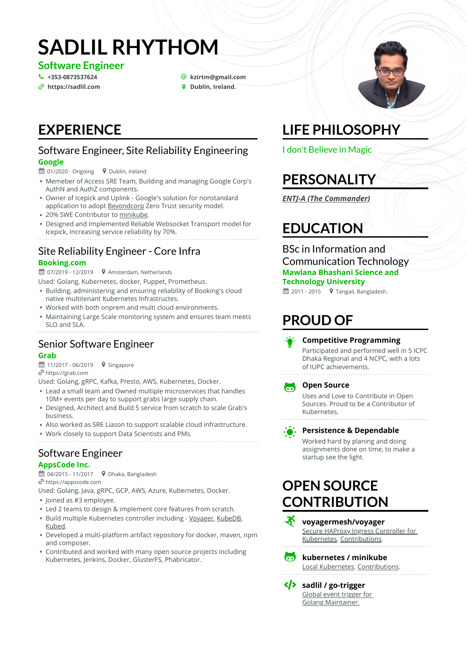# **SADLIL RHYTHOM**

**Software Engineer**

 $\frac{\partial}{\partial \theta}$  [https://sadlil.com](https://sadlil.com/) **+**  $\theta$  Dublin, Ireland.

# **[+353-0873537624](tel:+353-0873537624)** \_ **[kzirtm@gmail.com](mailto:kzirtm@gmail.com)**

### **EXPERIENCE**

#### Software Engineer, Site Reliability Engineering **Google**

#### ■ 01/2020 - Ongoing  $\bullet$  Dublin, Ireland

- Memeber of Access SRE Team, Building and managing Google Corp's AuthN and AuthZ components.
- Owner of Icepick and Uplink Google's solution for nonstandard application to adopt **Beyondcorp** Zero Trust security model.
- 20% SWE Contributor to [minikube.](https://github.com/kubernetes/minikube/pulls?q=is%3Apr+author%3Asadlil)
- Designed and Implemented Reliable Websocket Transport model for Icepick, Increasing service reliability by 70%.

### Site Reliability Engineer - Core Infra

#### **Booking.com**

 $\mathbf{\mathfrak{m}}$  07/2019 - 12/2019  $\mathbf{\mathsf{Q}}$  Amsterdam, Netherlands

Used: Golang, Kubernetes, docker, Puppet, Prometheus.

- Building, administering and ensuring reliability of Booking's cloud native multitenant Kubernetes Infrastructes.
- Worked with both onprem and multi cloud environments.
- Maintaining Large Scale monitoring system and ensures team meets SLO and SLA.

#### Senior Software Engineer **Grab**

 $\hat{=}$  11/2017 - 06/2019  $\bullet$  Singapore

[https://grab.com](https://grab.com/)

Used: Golang, gRPC, Kafka, Presto, AWS, Kubernetes, Docker.

- Lead a small team and Owned multiple microservices that handles 10M+ events per day to support grabs large supply chain.
- Designed, Architect and Build 5 service from scratch to scale Grab's business.
- Also worked as SRE Liason to support scalable cloud infrastructure.
- Work closely to support Data Scientists and PMs.

#### Software Engineer **AppsCode Inc.**

 $\hat{H}$  04/2015 - 11/2017  $\bullet$  Dhaka, Bangladesh [https://appscode.com](https://appscode.com/)

• Joined as #3 employee. Used: Golang, Java, gRPC, GCP, AWS, Azure, Kubernetes, Docker.

- Led 2 teams to design & implement core features from scratch.
- Build multiple Kubernetes controller including [Voyager](https://github.com/voyagermesh/voyager), [KubeDB,](https://github.com/kubedb) [Kubed](https://github.com/kubeops/config-syncer).
- Developed a multi-platform artifact repository for docker, maven, npm and composer.
- Contributed and worked with many open source projects including Kubernetes, Jenkins, Docker, GlusterFS, Phabricator.

# **LIFE PHILOSOPHY**

I don't Believe in Magic

# **PERSONALITY**

*[ENTJ-A \(The Commander\)](https://www.16personalities.com/profiles/57a0bb3ee941e)*

### **EDUCATION**

BSc in Information and Communication Technology **Mawlana Bhashani Science and Technology University**

 $\hat{=}$  2011 - 2015  $\bullet$  Tangail, Bangladesh.

# **PROUD OF**



#### **Competitive Programming**

Participated and performed well in 5 ICPC Dhaka Regional and 4 NCPC, with a lots of IUPC achievements.



#### **Open Source**

Uses and Love to Contribute in Open Sources. Proud to be a Contributor of Kubernetes.



#### **Persistence & Dependable**

Worked hard by planing and doing assignments done on time, to make a startup see the light.

### **OPEN SOURCE CONTRIBUTION**



[Secure HAProxy Ingress Controller for](https://github.com/voyagermesh/voyager) Kubernetes. [Contributions.](https://github.com/voyagermesh/voyager/pulls?q=is%3Apr+author%3Asadlil)



 **kubernetes / minikube** [Local Kubernetes.](https://github.com/kubernetes/minikube) [Contributions](https://github.com/kubernetes/minikube/pulls?q=is%3Apr+author%3Asadlil).

 **sadlil / go-trigger** [Global event trigger for](https://github.com/sadlil/go-trigger) Golang.Maintainer.